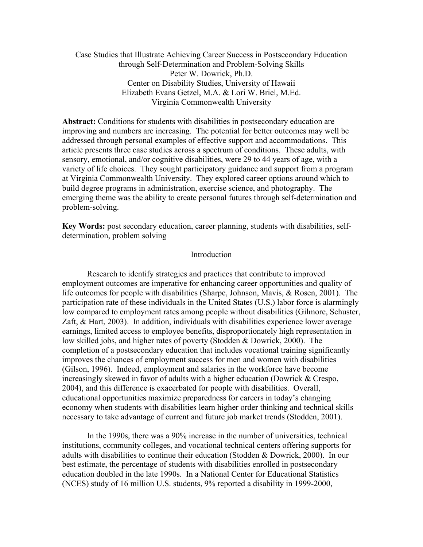Case Studies that Illustrate Achieving Career Success in Postsecondary Education through Self-Determination and Problem-Solving Skills Peter W. Dowrick, Ph.D. Center on Disability Studies, University of Hawaii Elizabeth Evans Getzel, M.A. & Lori W. Briel, M.Ed. Virginia Commonwealth University

**Abstract:** Conditions for students with disabilities in postsecondary education are improving and numbers are increasing. The potential for better outcomes may well be addressed through personal examples of effective support and accommodations. This article presents three case studies across a spectrum of conditions. These adults, with sensory, emotional, and/or cognitive disabilities, were 29 to 44 years of age, with a variety of life choices. They sought participatory guidance and support from a program at Virginia Commonwealth University. They explored career options around which to build degree programs in administration, exercise science, and photography. The emerging theme was the ability to create personal futures through self-determination and problem-solving.

**Key Words:** post secondary education, career planning, students with disabilities, selfdetermination, problem solving

# Introduction

Research to identify strategies and practices that contribute to improved employment outcomes are imperative for enhancing career opportunities and quality of life outcomes for people with disabilities (Sharpe, Johnson, Mavis, & Rosen, 2001). The participation rate of these individuals in the United States (U.S.) labor force is alarmingly low compared to employment rates among people without disabilities (Gilmore, Schuster, Zaft, & Hart, 2003). In addition, individuals with disabilities experience lower average earnings, limited access to employee benefits, disproportionately high representation in low skilled jobs, and higher rates of poverty (Stodden & Dowrick, 2000). The completion of a postsecondary education that includes vocational training significantly improves the chances of employment success for men and women with disabilities (Gilson, 1996). Indeed, employment and salaries in the workforce have become increasingly skewed in favor of adults with a higher education (Dowrick & Crespo, 2004), and this difference is exacerbated for people with disabilities. Overall, educational opportunities maximize preparedness for careers in today's changing economy when students with disabilities learn higher order thinking and technical skills necessary to take advantage of current and future job market trends (Stodden, 2001).

In the 1990s, there was a 90% increase in the number of universities, technical institutions, community colleges, and vocational technical centers offering supports for adults with disabilities to continue their education (Stodden & Dowrick, 2000). In our best estimate, the percentage of students with disabilities enrolled in postsecondary education doubled in the late 1990s. In a National Center for Educational Statistics (NCES) study of 16 million U.S. students, 9% reported a disability in 1999-2000,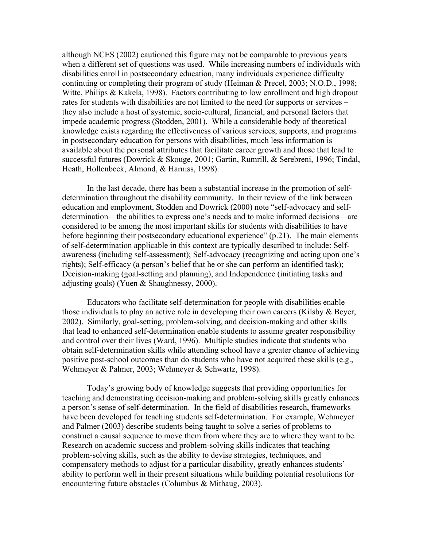although NCES (2002) cautioned this figure may not be comparable to previous years when a different set of questions was used. While increasing numbers of individuals with disabilities enroll in postsecondary education, many individuals experience difficulty continuing or completing their program of study (Heiman & Precel, 2003; N.O.D., 1998; Witte, Philips & Kakela, 1998). Factors contributing to low enrollment and high dropout rates for students with disabilities are not limited to the need for supports or services – they also include a host of systemic, socio-cultural, financial, and personal factors that impede academic progress (Stodden, 2001). While a considerable body of theoretical knowledge exists regarding the effectiveness of various services, supports, and programs in postsecondary education for persons with disabilities, much less information is available about the personal attributes that facilitate career growth and those that lead to successful futures (Dowrick & Skouge, 2001; Gartin, Rumrill, & Serebreni, 1996; Tindal, Heath, Hollenbeck, Almond, & Harniss, 1998).

In the last decade, there has been a substantial increase in the promotion of selfdetermination throughout the disability community. In their review of the link between education and employment, Stodden and Dowrick (2000) note "self-advocacy and selfdetermination—the abilities to express one's needs and to make informed decisions—are considered to be among the most important skills for students with disabilities to have before beginning their postsecondary educational experience" (p.21). The main elements of self-determination applicable in this context are typically described to include: Selfawareness (including self-assessment); Self-advocacy (recognizing and acting upon one's rights); Self-efficacy (a person's belief that he or she can perform an identified task); Decision-making (goal-setting and planning), and Independence (initiating tasks and adjusting goals) (Yuen & Shaughnessy, 2000).

Educators who facilitate self-determination for people with disabilities enable those individuals to play an active role in developing their own careers (Kilsby & Beyer, 2002). Similarly, goal-setting, problem-solving, and decision-making and other skills that lead to enhanced self-determination enable students to assume greater responsibility and control over their lives (Ward, 1996). Multiple studies indicate that students who obtain self-determination skills while attending school have a greater chance of achieving positive post-school outcomes than do students who have not acquired these skills (e.g., Wehmeyer & Palmer, 2003; Wehmeyer & Schwartz, 1998).

Today's growing body of knowledge suggests that providing opportunities for teaching and demonstrating decision-making and problem-solving skills greatly enhances a person's sense of self-determination. In the field of disabilities research, frameworks have been developed for teaching students self-determination. For example, Wehmeyer and Palmer (2003) describe students being taught to solve a series of problems to construct a causal sequence to move them from where they are to where they want to be. Research on academic success and problem-solving skills indicates that teaching problem-solving skills, such as the ability to devise strategies, techniques, and compensatory methods to adjust for a particular disability, greatly enhances students' ability to perform well in their present situations while building potential resolutions for encountering future obstacles (Columbus & Mithaug, 2003).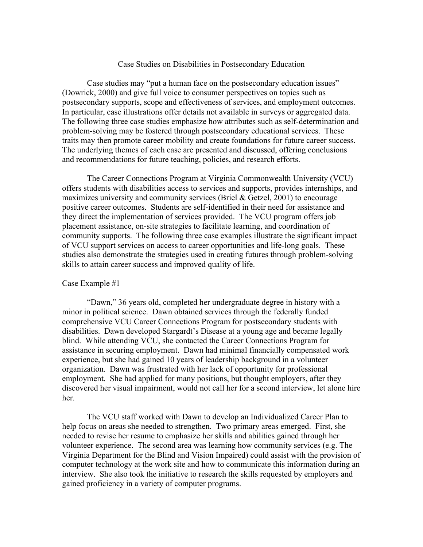## Case Studies on Disabilities in Postsecondary Education

Case studies may "put a human face on the postsecondary education issues" (Dowrick, 2000) and give full voice to consumer perspectives on topics such as postsecondary supports, scope and effectiveness of services, and employment outcomes. In particular, case illustrations offer details not available in surveys or aggregated data. The following three case studies emphasize how attributes such as self-determination and problem-solving may be fostered through postsecondary educational services. These traits may then promote career mobility and create foundations for future career success. The underlying themes of each case are presented and discussed, offering conclusions and recommendations for future teaching, policies, and research efforts.

The Career Connections Program at Virginia Commonwealth University (VCU) offers students with disabilities access to services and supports, provides internships, and maximizes university and community services (Briel & Getzel, 2001) to encourage positive career outcomes. Students are self-identified in their need for assistance and they direct the implementation of services provided. The VCU program offers job placement assistance, on-site strategies to facilitate learning, and coordination of community supports. The following three case examples illustrate the significant impact of VCU support services on access to career opportunities and life-long goals. These studies also demonstrate the strategies used in creating futures through problem-solving skills to attain career success and improved quality of life.

## Case Example #1

"Dawn," 36 years old, completed her undergraduate degree in history with a minor in political science. Dawn obtained services through the federally funded comprehensive VCU Career Connections Program for postsecondary students with disabilities. Dawn developed Stargardt's Disease at a young age and became legally blind. While attending VCU, she contacted the Career Connections Program for assistance in securing employment. Dawn had minimal financially compensated work experience, but she had gained 10 years of leadership background in a volunteer organization. Dawn was frustrated with her lack of opportunity for professional employment. She had applied for many positions, but thought employers, after they discovered her visual impairment, would not call her for a second interview, let alone hire her.

The VCU staff worked with Dawn to develop an Individualized Career Plan to help focus on areas she needed to strengthen. Two primary areas emerged. First, she needed to revise her resume to emphasize her skills and abilities gained through her volunteer experience. The second area was learning how community services (e.g. The Virginia Department for the Blind and Vision Impaired) could assist with the provision of computer technology at the work site and how to communicate this information during an interview. She also took the initiative to research the skills requested by employers and gained proficiency in a variety of computer programs.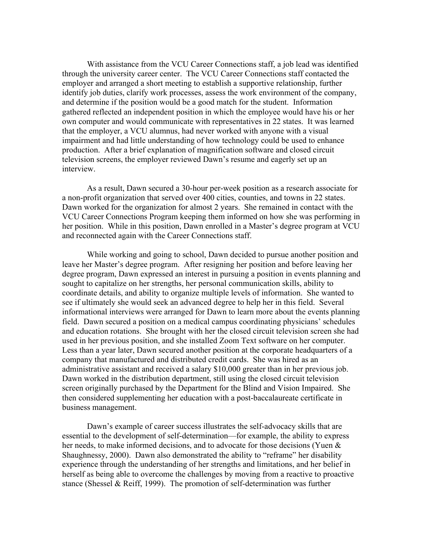With assistance from the VCU Career Connections staff, a job lead was identified through the university career center. The VCU Career Connections staff contacted the employer and arranged a short meeting to establish a supportive relationship, further identify job duties, clarify work processes, assess the work environment of the company, and determine if the position would be a good match for the student. Information gathered reflected an independent position in which the employee would have his or her own computer and would communicate with representatives in 22 states. It was learned that the employer, a VCU alumnus, had never worked with anyone with a visual impairment and had little understanding of how technology could be used to enhance production. After a brief explanation of magnification software and closed circuit television screens, the employer reviewed Dawn's resume and eagerly set up an interview.

As a result, Dawn secured a 30-hour per-week position as a research associate for a non-profit organization that served over 400 cities, counties, and towns in 22 states. Dawn worked for the organization for almost 2 years. She remained in contact with the VCU Career Connections Program keeping them informed on how she was performing in her position. While in this position, Dawn enrolled in a Master's degree program at VCU and reconnected again with the Career Connections staff.

While working and going to school, Dawn decided to pursue another position and leave her Master's degree program. After resigning her position and before leaving her degree program, Dawn expressed an interest in pursuing a position in events planning and sought to capitalize on her strengths, her personal communication skills, ability to coordinate details, and ability to organize multiple levels of information. She wanted to see if ultimately she would seek an advanced degree to help her in this field. Several informational interviews were arranged for Dawn to learn more about the events planning field. Dawn secured a position on a medical campus coordinating physicians' schedules and education rotations. She brought with her the closed circuit television screen she had used in her previous position, and she installed Zoom Text software on her computer. Less than a year later, Dawn secured another position at the corporate headquarters of a company that manufactured and distributed credit cards. She was hired as an administrative assistant and received a salary \$10,000 greater than in her previous job. Dawn worked in the distribution department, still using the closed circuit television screen originally purchased by the Department for the Blind and Vision Impaired. She then considered supplementing her education with a post-baccalaureate certificate in business management.

Dawn's example of career success illustrates the self-advocacy skills that are essential to the development of self-determination—for example, the ability to express her needs, to make informed decisions, and to advocate for those decisions (Yuen & Shaughnessy, 2000). Dawn also demonstrated the ability to "reframe" her disability experience through the understanding of her strengths and limitations, and her belief in herself as being able to overcome the challenges by moving from a reactive to proactive stance (Shessel & Reiff, 1999). The promotion of self-determination was further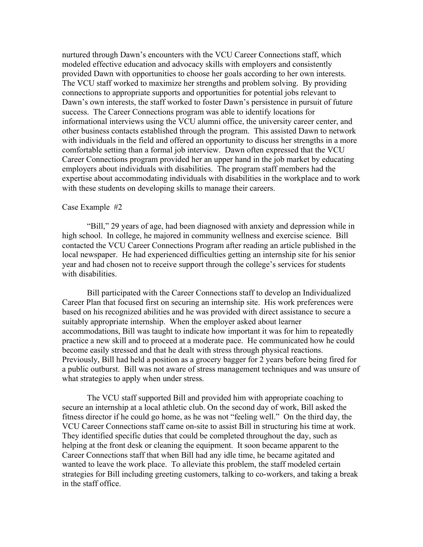nurtured through Dawn's encounters with the VCU Career Connections staff, which modeled effective education and advocacy skills with employers and consistently provided Dawn with opportunities to choose her goals according to her own interests. The VCU staff worked to maximize her strengths and problem solving. By providing connections to appropriate supports and opportunities for potential jobs relevant to Dawn's own interests, the staff worked to foster Dawn's persistence in pursuit of future success. The Career Connections program was able to identify locations for informational interviews using the VCU alumni office, the university career center, and other business contacts established through the program. This assisted Dawn to network with individuals in the field and offered an opportunity to discuss her strengths in a more comfortable setting than a formal job interview. Dawn often expressed that the VCU Career Connections program provided her an upper hand in the job market by educating employers about individuals with disabilities. The program staff members had the expertise about accommodating individuals with disabilities in the workplace and to work with these students on developing skills to manage their careers.

#### Case Example #2

"Bill," 29 years of age, had been diagnosed with anxiety and depression while in high school. In college, he majored in community wellness and exercise science. Bill contacted the VCU Career Connections Program after reading an article published in the local newspaper. He had experienced difficulties getting an internship site for his senior year and had chosen not to receive support through the college's services for students with disabilities.

Bill participated with the Career Connections staff to develop an Individualized Career Plan that focused first on securing an internship site. His work preferences were based on his recognized abilities and he was provided with direct assistance to secure a suitably appropriate internship. When the employer asked about learner accommodations, Bill was taught to indicate how important it was for him to repeatedly practice a new skill and to proceed at a moderate pace. He communicated how he could become easily stressed and that he dealt with stress through physical reactions. Previously, Bill had held a position as a grocery bagger for 2 years before being fired for a public outburst. Bill was not aware of stress management techniques and was unsure of what strategies to apply when under stress.

The VCU staff supported Bill and provided him with appropriate coaching to secure an internship at a local athletic club. On the second day of work, Bill asked the fitness director if he could go home, as he was not "feeling well." On the third day, the VCU Career Connections staff came on-site to assist Bill in structuring his time at work. They identified specific duties that could be completed throughout the day, such as helping at the front desk or cleaning the equipment. It soon became apparent to the Career Connections staff that when Bill had any idle time, he became agitated and wanted to leave the work place. To alleviate this problem, the staff modeled certain strategies for Bill including greeting customers, talking to co-workers, and taking a break in the staff office.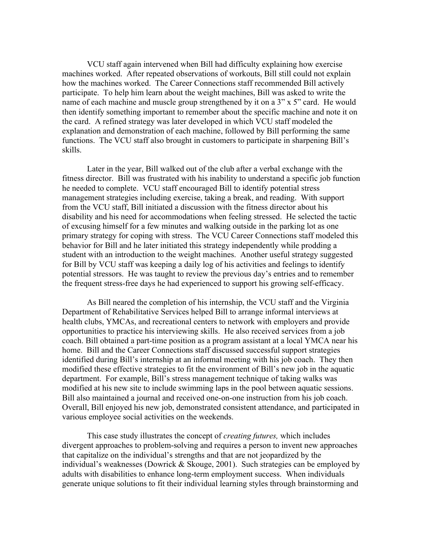VCU staff again intervened when Bill had difficulty explaining how exercise machines worked. After repeated observations of workouts, Bill still could not explain how the machines worked. The Career Connections staff recommended Bill actively participate. To help him learn about the weight machines, Bill was asked to write the name of each machine and muscle group strengthened by it on a 3" x 5" card. He would then identify something important to remember about the specific machine and note it on the card. A refined strategy was later developed in which VCU staff modeled the explanation and demonstration of each machine, followed by Bill performing the same functions. The VCU staff also brought in customers to participate in sharpening Bill's skills.

Later in the year, Bill walked out of the club after a verbal exchange with the fitness director. Bill was frustrated with his inability to understand a specific job function he needed to complete. VCU staff encouraged Bill to identify potential stress management strategies including exercise, taking a break, and reading. With support from the VCU staff, Bill initiated a discussion with the fitness director about his disability and his need for accommodations when feeling stressed. He selected the tactic of excusing himself for a few minutes and walking outside in the parking lot as one primary strategy for coping with stress. The VCU Career Connections staff modeled this behavior for Bill and he later initiated this strategy independently while prodding a student with an introduction to the weight machines. Another useful strategy suggested for Bill by VCU staff was keeping a daily log of his activities and feelings to identify potential stressors. He was taught to review the previous day's entries and to remember the frequent stress-free days he had experienced to support his growing self-efficacy.

As Bill neared the completion of his internship, the VCU staff and the Virginia Department of Rehabilitative Services helped Bill to arrange informal interviews at health clubs, YMCAs, and recreational centers to network with employers and provide opportunities to practice his interviewing skills. He also received services from a job coach. Bill obtained a part-time position as a program assistant at a local YMCA near his home. Bill and the Career Connections staff discussed successful support strategies identified during Bill's internship at an informal meeting with his job coach. They then modified these effective strategies to fit the environment of Bill's new job in the aquatic department. For example, Bill's stress management technique of taking walks was modified at his new site to include swimming laps in the pool between aquatic sessions. Bill also maintained a journal and received one-on-one instruction from his job coach. Overall, Bill enjoyed his new job, demonstrated consistent attendance, and participated in various employee social activities on the weekends.

This case study illustrates the concept of *creating futures,* which includes divergent approaches to problem-solving and requires a person to invent new approaches that capitalize on the individual's strengths and that are not jeopardized by the individual's weaknesses (Dowrick & Skouge, 2001). Such strategies can be employed by adults with disabilities to enhance long-term employment success. When individuals generate unique solutions to fit their individual learning styles through brainstorming and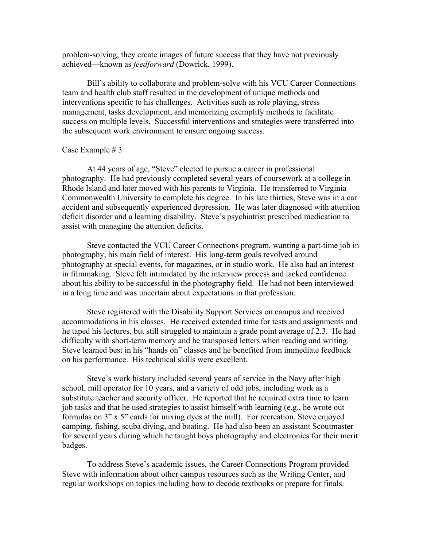problem-solving, they create images of future success that they have not previously achieved—known as *feedforward* (Dowrick, 1999).

Bill's ability to collaborate and problem-solve with his VCU Career Connections team and health club staff resulted in the development of unique methods and interventions specific to his challenges. Activities such as role playing, stress management, tasks development, and memorizing exemplify methods to facilitate success on multiple levels. Successful interventions and strategies were transferred into the subsequent work environment to ensure ongoing success.

## Case Example # 3

At 44 years of age, "Steve" elected to pursue a career in professional photography. He had previously completed several years of coursework at a college in Rhode Island and later moved with his parents to Virginia. He transferred to Virginia Commonwealth University to complete his degree. In his late thirties, Steve was in a car accident and subsequently experienced depression. He was later diagnosed with attention deficit disorder and a learning disability. Steve's psychiatrist prescribed medication to assist with managing the attention deficits.

Steve contacted the VCU Career Connections program, wanting a part-time job in photography, his main field of interest. His long-term goals revolved around photography at special events, for magazines, or in studio work. He also had an interest in filmmaking. Steve felt intimidated by the interview process and lacked confidence about his ability to be successful in the photography field. He had not been interviewed in a long time and was uncertain about expectations in that profession.

Steve registered with the Disability Support Services on campus and received accommodations in his classes. He received extended time for tests and assignments and he taped his lectures, but still struggled to maintain a grade point average of 2.3. He had difficulty with short-term memory and he transposed letters when reading and writing. Steve learned best in his "hands on" classes and he benefited from immediate feedback on his performance. His technical skills were excellent.

Steve's work history included several years of service in the Navy after high school, mill operator for 10 years, and a variety of odd jobs, including work as a substitute teacher and security officer. He reported that he required extra time to learn job tasks and that he used strategies to assist himself with learning (e.g., he wrote out formulas on 3" x 5" cards for mixing dyes at the mill). For recreation, Steve enjoyed camping, fishing, scuba diving, and boating. He had also been an assistant Scoutmaster for several years during which he taught boys photography and electronics for their merit badges.

To address Steve's academic issues, the Career Connections Program provided Steve with information about other campus resources such as the Writing Center, and regular workshops on topics including how to decode textbooks or prepare for finals.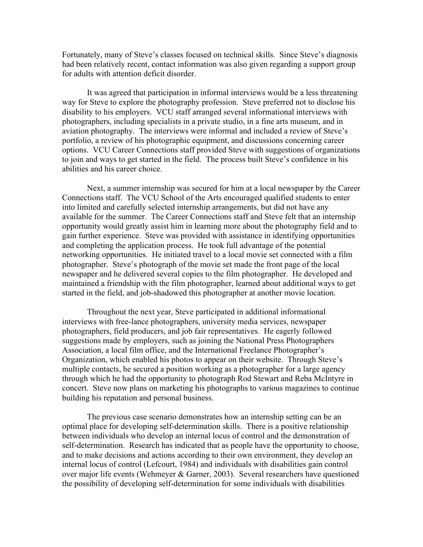Fortunately, many of Steve's classes focused on technical skills. Since Steve's diagnosis had been relatively recent, contact information was also given regarding a support group for adults with attention deficit disorder.

It was agreed that participation in informal interviews would be a less threatening way for Steve to explore the photography profession. Steve preferred not to disclose his disability to his employers. VCU staff arranged several informational interviews with photographers, including specialists in a private studio, in a fine arts museum, and in aviation photography. The interviews were informal and included a review of Steve's portfolio, a review of his photographic equipment, and discussions concerning career options. VCU Career Connections staff provided Steve with suggestions of organizations to join and ways to get started in the field. The process built Steve's confidence in his abilities and his career choice.

Next, a summer internship was secured for him at a local newspaper by the Career Connections staff. The VCU School of the Arts encouraged qualified students to enter into limited and carefully selected internship arrangements, but did not have any available for the summer. The Career Connections staff and Steve felt that an internship opportunity would greatly assist him in learning more about the photography field and to gain further experience. Steve was provided with assistance in identifying opportunities and completing the application process. He took full advantage of the potential networking opportunities. He initiated travel to a local movie set connected with a film photographer. Steve's photograph of the movie set made the front page of the local newspaper and he delivered several copies to the film photographer. He developed and maintained a friendship with the film photographer, learned about additional ways to get started in the field, and job-shadowed this photographer at another movie location.

Throughout the next year, Steve participated in additional informational interviews with free-lance photographers, university media services, newspaper photographers, field producers, and job fair representatives. He eagerly followed suggestions made by employers, such as joining the National Press Photographers Association, a local film office, and the International Freelance Photographer's Organization, which enabled his photos to appear on their website. Through Steve's multiple contacts, he secured a position working as a photographer for a large agency through which he had the opportunity to photograph Rod Stewart and Reba McIntyre in concert. Steve now plans on marketing his photographs to various magazines to continue building his reputation and personal business.

The previous case scenario demonstrates how an internship setting can be an optimal place for developing self-determination skills. There is a positive relationship between individuals who develop an internal locus of control and the demonstration of self-determination. Research has indicated that as people have the opportunity to choose, and to make decisions and actions according to their own environment, they develop an internal locus of control (Lefcourt, 1984) and individuals with disabilities gain control over major life events (Wehmeyer & Garner, 2003). Several researchers have questioned the possibility of developing self-determination for some individuals with disabilities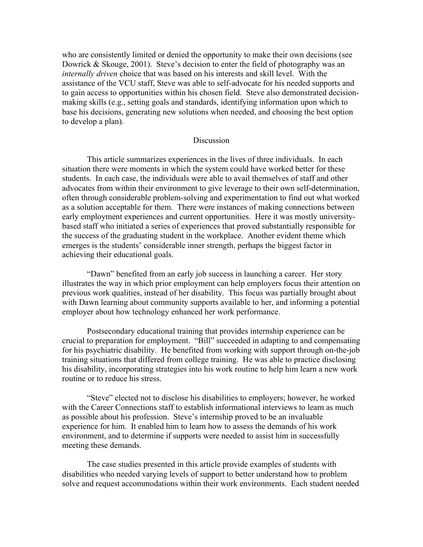who are consistently limited or denied the opportunity to make their own decisions (see Dowrick & Skouge, 2001). Steve's decision to enter the field of photography was an *internally driven* choice that was based on his interests and skill level. With the assistance of the VCU staff, Steve was able to self-advocate for his needed supports and to gain access to opportunities within his chosen field. Steve also demonstrated decisionmaking skills (e.g., setting goals and standards, identifying information upon which to base his decisions, generating new solutions when needed, and choosing the best option to develop a plan).

## **Discussion**

This article summarizes experiences in the lives of three individuals. In each situation there were moments in which the system could have worked better for these students. In each case, the individuals were able to avail themselves of staff and other advocates from within their environment to give leverage to their own self-determination, often through considerable problem-solving and experimentation to find out what worked as a solution acceptable for them. There were instances of making connections between early employment experiences and current opportunities. Here it was mostly universitybased staff who initiated a series of experiences that proved substantially responsible for the success of the graduating student in the workplace. Another evident theme which emerges is the students' considerable inner strength, perhaps the biggest factor in achieving their educational goals.

"Dawn" benefited from an early job success in launching a career. Her story illustrates the way in which prior employment can help employers focus their attention on previous work qualities, instead of her disability. This focus was partially brought about with Dawn learning about community supports available to her, and informing a potential employer about how technology enhanced her work performance.

Postsecondary educational training that provides internship experience can be crucial to preparation for employment. "Bill" succeeded in adapting to and compensating for his psychiatric disability. He benefited from working with support through on-the-job training situations that differed from college training. He was able to practice disclosing his disability, incorporating strategies into his work routine to help him learn a new work routine or to reduce his stress.

"Steve" elected not to disclose his disabilities to employers; however, he worked with the Career Connections staff to establish informational interviews to learn as much as possible about his profession. Steve's internship proved to be an invaluable experience for him. It enabled him to learn how to assess the demands of his work environment, and to determine if supports were needed to assist him in successfully meeting these demands.

The case studies presented in this article provide examples of students with disabilities who needed varying levels of support to better understand how to problem solve and request accommodations within their work environments. Each student needed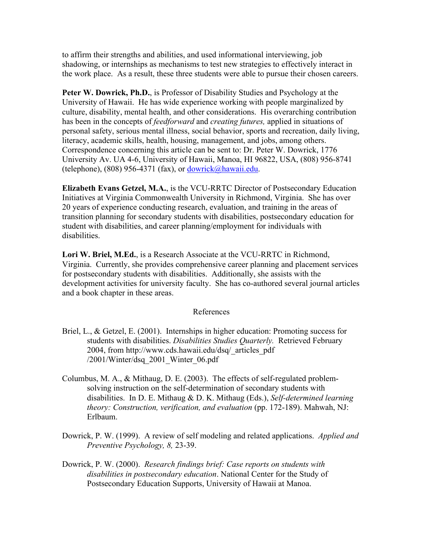to affirm their strengths and abilities, and used informational interviewing, job shadowing, or internships as mechanisms to test new strategies to effectively interact in the work place. As a result, these three students were able to pursue their chosen careers.

**Peter W. Dowrick, Ph.D.**, is Professor of Disability Studies and Psychology at the University of Hawaii. He has wide experience working with people marginalized by culture, disability, mental health, and other considerations. His overarching contribution has been in the concepts of *feedforward* and *creating futures,* applied in situations of personal safety, serious mental illness, social behavior, sports and recreation, daily living, literacy, academic skills, health, housing, management, and jobs, among others. Correspondence concerning this article can be sent to: Dr. Peter W. Dowrick, 1776 University Av. UA 4-6, University of Hawaii, Manoa, HI 96822, USA, (808) 956-8741 (telephone), (808) 956-4371 (fax), or  $\frac{\text{downick}}{\text{a}$ hawaii.edu.

**Elizabeth Evans Getzel, M.A.**, is the VCU-RRTC Director of Postsecondary Education Initiatives at Virginia Commonwealth University in Richmond, Virginia. She has over 20 years of experience conducting research, evaluation, and training in the areas of transition planning for secondary students with disabilities, postsecondary education for student with disabilities, and career planning/employment for individuals with disabilities.

**Lori W. Briel, M.Ed.**, is a Research Associate at the VCU-RRTC in Richmond, Virginia. Currently, she provides comprehensive career planning and placement services for postsecondary students with disabilities. Additionally, she assists with the development activities for university faculty. She has co-authored several journal articles and a book chapter in these areas.

# References

- Briel, L., & Getzel, E. (2001). Internships in higher education: Promoting success for students with disabilities. *Disabilities Studies Quarterly.* Retrieved February 2004, from http://www.cds.hawaii.edu/dsq/\_articles\_pdf /2001/Winter/dsq\_2001\_Winter\_06.pdf
- Columbus, M. A., & Mithaug, D. E. (2003). The effects of self-regulated problemsolving instruction on the self-determination of secondary students with disabilities. In D. E. Mithaug & D. K. Mithaug (Eds.), *Self-determined learning theory: Construction, verification, and evaluation* (pp. 172-189). Mahwah, NJ: Erlbaum.
- Dowrick, P. W. (1999). A review of self modeling and related applications. *Applied and Preventive Psychology, 8,* 23-39.
- Dowrick, P. W. (2000). *Research findings brief: Case reports on students with disabilities in postsecondary education*. National Center for the Study of Postsecondary Education Supports, University of Hawaii at Manoa.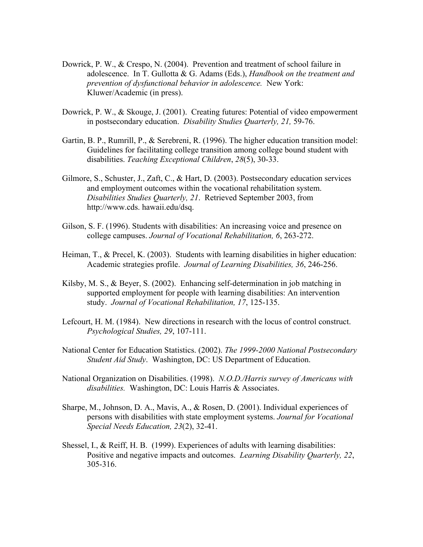- Dowrick, P. W., & Crespo, N. (2004). Prevention and treatment of school failure in adolescence. In T. Gullotta & G. Adams (Eds.), *Handbook on the treatment and prevention of dysfunctional behavior in adolescence.* New York: Kluwer/Academic (in press).
- Dowrick, P. W., & Skouge, J. (2001). Creating futures: Potential of video empowerment in postsecondary education. *Disability Studies Quarterly, 21,* 59-76.
- Gartin, B. P., Rumrill, P., & Serebreni, R. (1996). The higher education transition model: Guidelines for facilitating college transition among college bound student with disabilities. *Teaching Exceptional Children*, *28*(5), 30-33.
- Gilmore, S., Schuster, J., Zaft, C., & Hart, D. (2003). Postsecondary education services and employment outcomes within the vocational rehabilitation system. *Disabilities Studies Quarterly, 21*. Retrieved September 2003, from http://www.cds. hawaii.edu/dsq.
- Gilson, S. F. (1996). Students with disabilities: An increasing voice and presence on college campuses. *Journal of Vocational Rehabilitation, 6*, 263-272.
- Heiman, T., & Precel, K. (2003). Students with learning disabilities in higher education: Academic strategies profile. *Journal of Learning Disabilities, 36*, 246-256.
- Kilsby, M. S., & Beyer, S. (2002). Enhancing self-determination in job matching in supported employment for people with learning disabilities: An intervention study. *Journal of Vocational Rehabilitation, 17*, 125-135.
- Lefcourt, H. M. (1984). New directions in research with the locus of control construct. *Psychological Studies, 29*, 107-111.
- National Center for Education Statistics. (2002). *The 1999-2000 National Postsecondary Student Aid Study*. Washington, DC: US Department of Education.
- National Organization on Disabilities. (1998). *N.O.D./Harris survey of Americans with disabilities.* Washington, DC: Louis Harris & Associates.
- Sharpe, M., Johnson, D. A., Mavis, A., & Rosen, D. (2001). Individual experiences of persons with disabilities with state employment systems. *Journal for Vocational Special Needs Education, 23*(2), 32-41.
- Shessel, I., & Reiff, H. B. (1999). Experiences of adults with learning disabilities: Positive and negative impacts and outcomes. *Learning Disability Quarterly, 22*, 305-316.